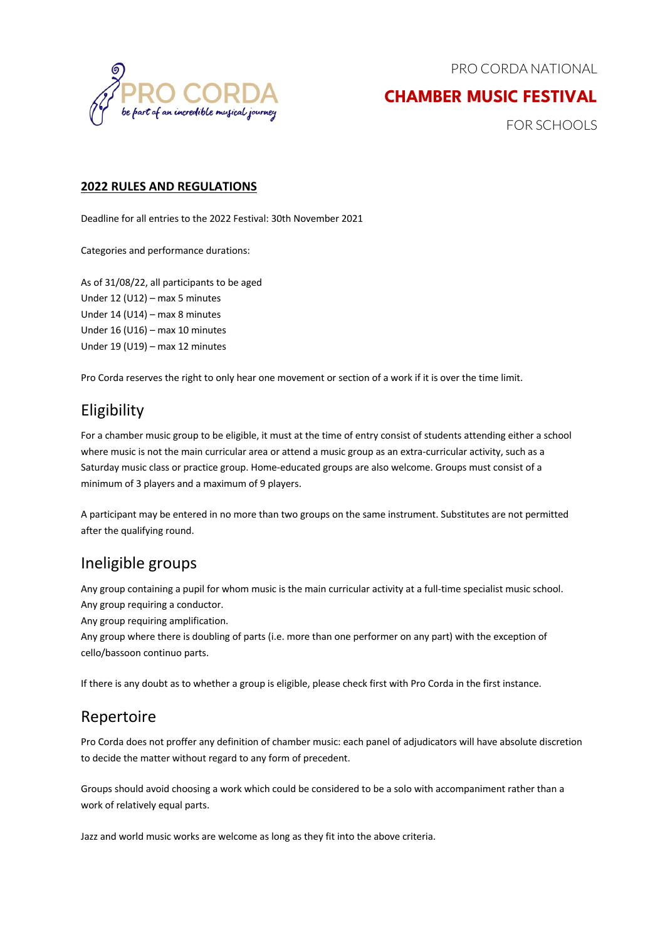



## **CHAMBER MUSIC FESTIVAL**

FOR SCHOOLS

#### **2022 RULES AND REGULATIONS**

Deadline for all entries to the 2022 Festival: 30th November 2021

Categories and performance durations:

As of 31/08/22, all participants to be aged Under 12 (U12) – max 5 minutes Under 14 (U14) – max 8 minutes Under 16 (U16) – max 10 minutes Under 19 (U19) – max 12 minutes

Pro Corda reserves the right to only hear one movement or section of a work if it is over the time limit.

## Eligibility

For a chamber music group to be eligible, it must at the time of entry consist of students attending either a school where music is not the main curricular area or attend a music group as an extra-curricular activity, such as a Saturday music class or practice group. Home-educated groups are also welcome. Groups must consist of a minimum of 3 players and a maximum of 9 players.

A participant may be entered in no more than two groups on the same instrument. Substitutes are not permitted after the qualifying round.

#### Ineligible groups

Any group containing a pupil for whom music is the main curricular activity at a full-time specialist music school. Any group requiring a conductor.

Any group requiring amplification.

Any group where there is doubling of parts (i.e. more than one performer on any part) with the exception of cello/bassoon continuo parts.

If there is any doubt as to whether a group is eligible, please check first with Pro Corda in the first instance.

#### Repertoire

Pro Corda does not proffer any definition of chamber music: each panel of adjudicators will have absolute discretion to decide the matter without regard to any form of precedent.

Groups should avoid choosing a work which could be considered to be a solo with accompaniment rather than a work of relatively equal parts.

Jazz and world music works are welcome as long as they fit into the above criteria.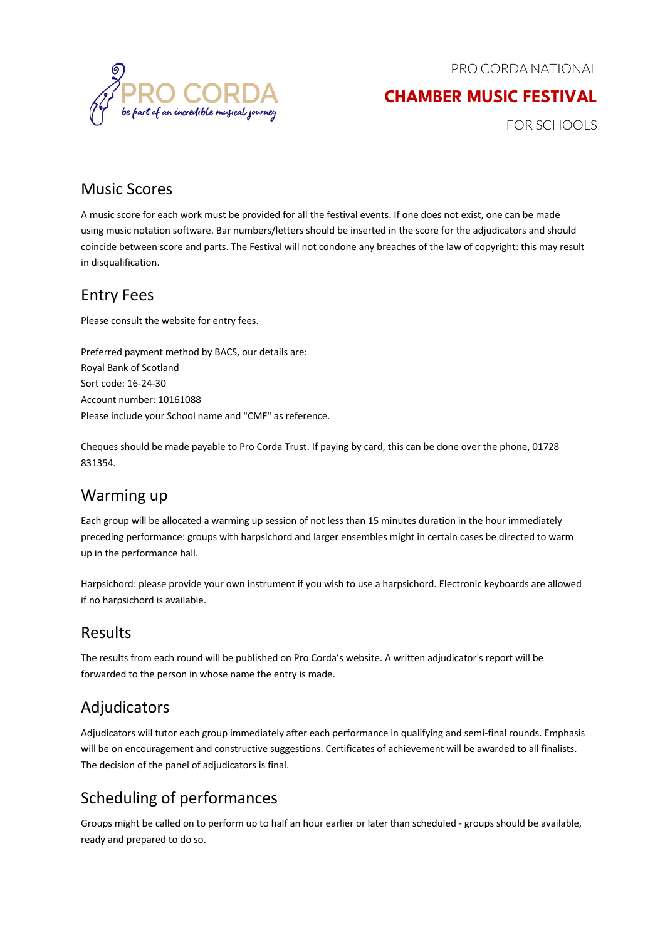PRO CORDA NATIONAL

## **CHAMBER MUSIC FESTIVAL**

FOR SCHOOLS

#### Music Scores

A music score for each work must be provided for all the festival events. If one does not exist, one can be made using music notation software. Bar numbers/letters should be inserted in the score for the adjudicators and should coincide between score and parts. The Festival will not condone any breaches of the law of copyright: this may result in disqualification.

#### Entry Fees

Please consult the website for entry fees.

Preferred payment method by BACS, our details are: Royal Bank of Scotland Sort code: 16-24-30 Account number: 10161088 Please include your School name and "CMF" as reference.

Cheques should be made payable to Pro Corda Trust. If paying by card, this can be done over the phone, 01728 831354.

#### Warming up

Each group will be allocated a warming up session of not less than 15 minutes duration in the hour immediately preceding performance: groups with harpsichord and larger ensembles might in certain cases be directed to warm up in the performance hall.

Harpsichord: please provide your own instrument if you wish to use a harpsichord. Electronic keyboards are allowed if no harpsichord is available.

#### Results

The results from each round will be published on Pro Corda's website. A written adjudicator's report will be forwarded to the person in whose name the entry is made.

## Adjudicators

Adjudicators will tutor each group immediately after each performance in qualifying and semi-final rounds. Emphasis will be on encouragement and constructive suggestions. Certificates of achievement will be awarded to all finalists. The decision of the panel of adjudicators is final.

# Scheduling of performances

Groups might be called on to perform up to half an hour earlier or later than scheduled - groups should be available, ready and prepared to do so.